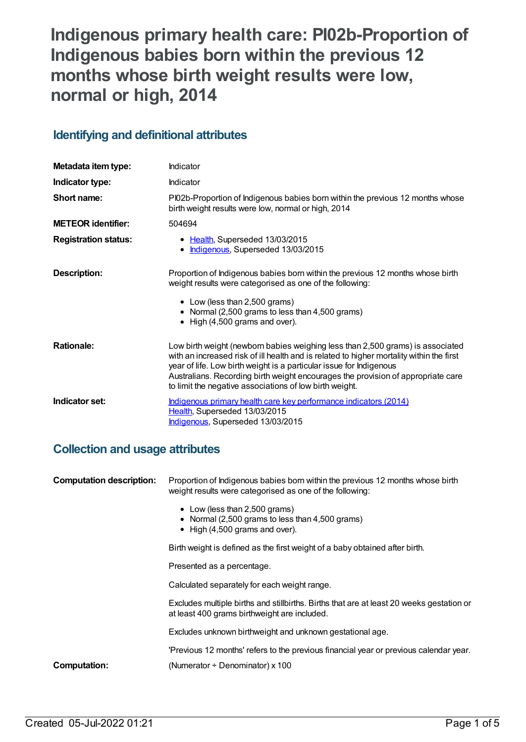# **Indigenous primary health care: PI02b-Proportion of Indigenous babies born within the previous 12 months whose birth weight results were low, normal or high, 2014**

## **Identifying and definitional attributes**

| Metadata item type:         | Indicator                                                                                                                                                                                                                                                                                                                                                                                        |
|-----------------------------|--------------------------------------------------------------------------------------------------------------------------------------------------------------------------------------------------------------------------------------------------------------------------------------------------------------------------------------------------------------------------------------------------|
| Indicator type:             | Indicator                                                                                                                                                                                                                                                                                                                                                                                        |
| Short name:                 | PI02b-Proportion of Indigenous babies born within the previous 12 months whose<br>birth weight results were low, normal or high, 2014                                                                                                                                                                                                                                                            |
| <b>METEOR identifier:</b>   | 504694                                                                                                                                                                                                                                                                                                                                                                                           |
| <b>Registration status:</b> | • Health, Superseded 13/03/2015<br>• Indigenous, Superseded 13/03/2015                                                                                                                                                                                                                                                                                                                           |
| <b>Description:</b>         | Proportion of Indigenous babies born within the previous 12 months whose birth<br>weight results were categorised as one of the following:<br>• Low (less than 2,500 grams)<br>• Normal (2,500 grams to less than 4,500 grams)<br>$\bullet$ High (4,500 grams and over).                                                                                                                         |
| <b>Rationale:</b>           | Low birth weight (newborn babies weighing less than 2,500 grams) is associated<br>with an increased risk of ill health and is related to higher mortality within the first<br>year of life. Low birth weight is a particular issue for Indigenous<br>Australians. Recording birth weight encourages the provision of appropriate care<br>to limit the negative associations of low birth weight. |
| Indicator set:              | Indigenous primary health care key performance indicators (2014)<br>Health, Superseded 13/03/2015<br>Indigenous, Superseded 13/03/2015                                                                                                                                                                                                                                                           |

## **Collection and usage attributes**

| <b>Computation description:</b> | Proportion of Indigenous babies born within the previous 12 months whose birth<br>weight results were categorised as one of the following: |
|---------------------------------|--------------------------------------------------------------------------------------------------------------------------------------------|
|                                 | • Low (less than 2,500 grams)<br>• Normal (2,500 grams to less than 4,500 grams)<br>$\bullet$ High (4,500 grams and over).                 |
|                                 | Birth weight is defined as the first weight of a baby obtained after birth.                                                                |
|                                 | Presented as a percentage.                                                                                                                 |
|                                 | Calculated separately for each weight range.                                                                                               |
|                                 | Excludes multiple births and stillbirths. Births that are at least 20 weeks gestation or<br>at least 400 grams birthweight are included.   |
|                                 | Excludes unknown birthweight and unknown gestational age.                                                                                  |
|                                 | 'Previous 12 months' refers to the previous financial year or previous calendar year.                                                      |
| Computation:                    | (Numerator $\div$ Denominator) x 100                                                                                                       |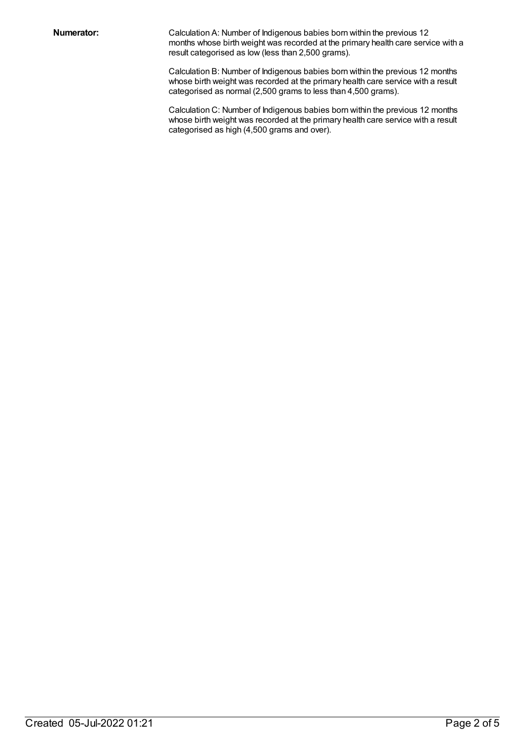**Numerator:** Calculation A: Number of Indigenous babies born within the previous 12 months whose birth weight was recorded at the primary health care service with a result categorised as low (less than 2,500 grams).

> Calculation B: Number of Indigenous babies born within the previous 12 months whose birth weight was recorded at the primary health care service with a result categorised as normal (2,500 grams to less than 4,500 grams).

> Calculation C: Number of Indigenous babies born within the previous 12 months whose birth weight was recorded at the primary health care service with a result categorised as high (4,500 grams and over).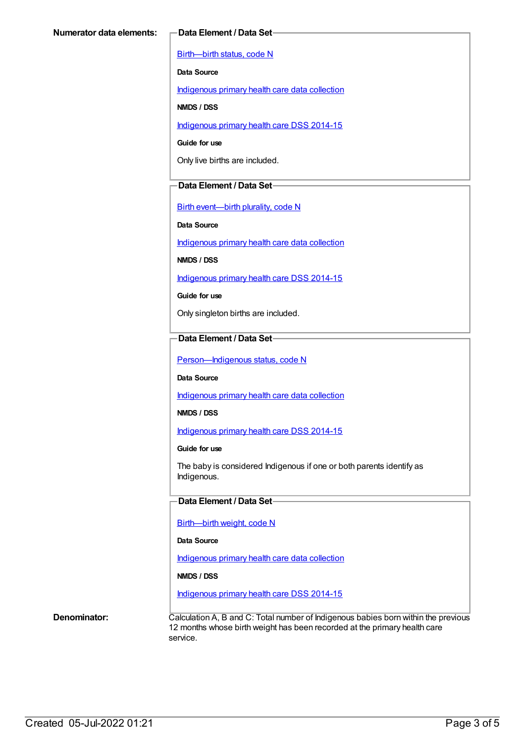[Birth—birth](https://meteor.aihw.gov.au/content/269949) status, code N

**Data Source**

[Indigenous](https://meteor.aihw.gov.au/content/430643) primary health care data collection

**NMDS / DSS**

[Indigenous](https://meteor.aihw.gov.au/content/504325) primary health care DSS 2014-15

**Guide for use**

Only live births are included.

#### **Data Element / Data Set**

Birth [event—birth](https://meteor.aihw.gov.au/content/269994) plurality, code N

**Data Source**

[Indigenous](https://meteor.aihw.gov.au/content/430643) primary health care data collection

**NMDS / DSS**

[Indigenous](https://meteor.aihw.gov.au/content/504325) primary health care DSS 2014-15

**Guide for use**

Only singleton births are included.

### **Data Element / Data Set**

Person-Indigenous status, code N

**Data Source**

[Indigenous](https://meteor.aihw.gov.au/content/430643) primary health care data collection

**NMDS / DSS**

[Indigenous](https://meteor.aihw.gov.au/content/504325) primary health care DSS 2014-15

**Guide for use**

The baby is considered Indigenous if one or both parents identify as Indigenous.

#### **Data Element / Data Set**

[Birth—birth](https://meteor.aihw.gov.au/content/459938) weight, code N

**Data Source**

[Indigenous](https://meteor.aihw.gov.au/content/430643) primary health care data collection

#### **NMDS / DSS**

[Indigenous](https://meteor.aihw.gov.au/content/504325) primary health care DSS 2014-15

**Denominator:** Calculation A, B and C: Total number of Indigenous babies born within the previous 12 months whose birth weight has been recorded at the primary health care service.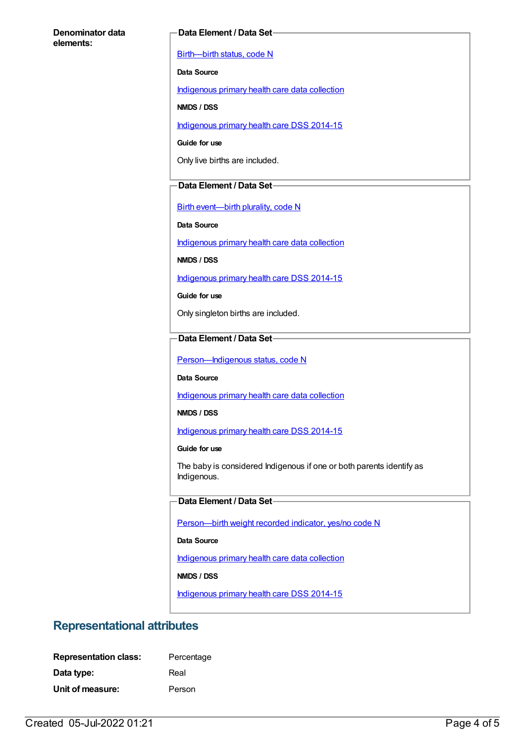#### **Denominator data elements:**

#### **Data Element / Data Set**

[Birth—birth](https://meteor.aihw.gov.au/content/269949) status, code N

**Data Source**

[Indigenous](https://meteor.aihw.gov.au/content/430643) primary health care data collection

**NMDS / DSS**

[Indigenous](https://meteor.aihw.gov.au/content/504325) primary health care DSS 2014-15

**Guide for use**

Only live births are included.

#### **Data Element / Data Set**

Birth [event—birth](https://meteor.aihw.gov.au/content/269994) plurality, code N

**Data Source**

[Indigenous](https://meteor.aihw.gov.au/content/430643) primary health care data collection

**NMDS / DSS**

[Indigenous](https://meteor.aihw.gov.au/content/504325) primary health care DSS 2014-15

**Guide for use**

Only singleton births are included.

### **Data Element / Data Set**

Person-Indigenous status, code N

**Data Source**

[Indigenous](https://meteor.aihw.gov.au/content/430643) primary health care data collection

**NMDS / DSS**

[Indigenous](https://meteor.aihw.gov.au/content/504325) primary health care DSS 2014-15

**Guide for use**

The baby is considered Indigenous if one or both parents identify as Indigenous.

#### **Data Element / Data Set**

[Person—birth](https://meteor.aihw.gov.au/content/441701) weight recorded indicator, yes/no code N

**Data Source**

[Indigenous](https://meteor.aihw.gov.au/content/430643) primary health care data collection

**NMDS / DSS**

[Indigenous](https://meteor.aihw.gov.au/content/504325) primary health care DSS 2014-15

## **Representational attributes**

| <b>Representation class:</b> | Percentage |
|------------------------------|------------|
| Data type:                   | Real       |
| Unit of measure:             | Person     |